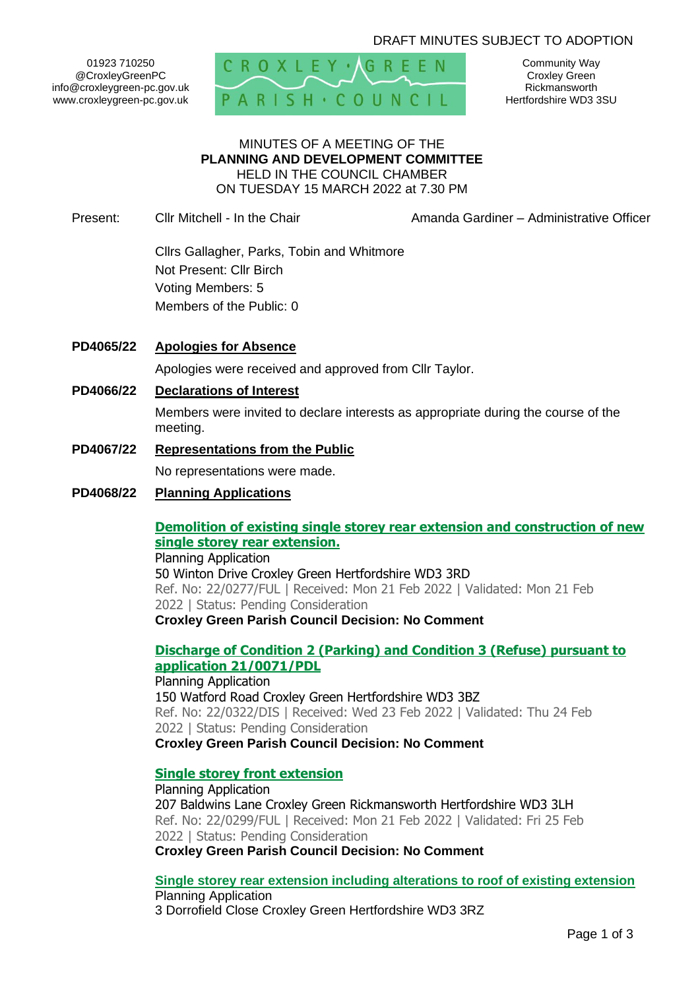# DRAFT MINUTES SUBJECT TO ADOPTION

01923 710250 @CroxleyGreenPC info@croxleygreen-pc.gov.uk www.croxleygreen-pc.gov.uk



Community Way Croxley Green Rickmansworth Hertfordshire WD3 3SU

#### MINUTES OF A MEETING OF THE **PLANNING AND DEVELOPMENT COMMITTEE** HELD IN THE COUNCIL CHAMBER ON TUESDAY 15 MARCH 2022 at 7.30 PM

Present: Cllr Mitchell - In the Chair **Amanda Gardiner – Administrative Officer** 

Cllrs Gallagher, Parks, Tobin and Whitmore Not Present: Cllr Birch Voting Members: 5 Members of the Public: 0

- **PD4065/22 Apologies for Absence** Apologies were received and approved from Cllr Taylor.
- **PD4066/22 Declarations of Interest**

Members were invited to declare interests as appropriate during the course of the meeting.

**PD4067/22 Representations from the Public**

No representations were made.

**PD4068/22 Planning Applications**

#### **[Demolition of existing single storey rear extension and construction of new](https://www3.threerivers.gov.uk/online-applications/applicationDetails.do?activeTab=summary&keyVal=R7JL0QQFIVK00&prevPage=inTray)  [single storey rear extension.](https://www3.threerivers.gov.uk/online-applications/applicationDetails.do?activeTab=summary&keyVal=R7JL0QQFIVK00&prevPage=inTray)**

Planning Application 50 Winton Drive Croxley Green Hertfordshire WD3 3RD Ref. No: 22/0277/FUL | Received: Mon 21 Feb 2022 | Validated: Mon 21 Feb 2022 | Status: Pending Consideration **Croxley Green Parish Council Decision: No Comment**

# **[Discharge of Condition 2 \(Parking\) and Condition 3 \(Refuse\) pursuant to](https://www3.threerivers.gov.uk/online-applications/applicationDetails.do?activeTab=summary&keyVal=R7QZLQQFIXK00&prevPage=inTray)  [application 21/0071/PDL](https://www3.threerivers.gov.uk/online-applications/applicationDetails.do?activeTab=summary&keyVal=R7QZLQQFIXK00&prevPage=inTray)**

Planning Application 150 Watford Road Croxley Green Hertfordshire WD3 3BZ Ref. No: 22/0322/DIS | Received: Wed 23 Feb 2022 | Validated: Thu 24 Feb 2022 | Status: Pending Consideration **Croxley Green Parish Council Decision: No Comment**

## **[Single storey front extension](https://www3.threerivers.gov.uk/online-applications/applicationDetails.do?activeTab=summary&keyVal=R7NSOFQF0DC00&prevPage=inTray)**

Planning Application 207 Baldwins Lane Croxley Green Rickmansworth Hertfordshire WD3 3LH Ref. No: 22/0299/FUL | Received: Mon 21 Feb 2022 | Validated: Fri 25 Feb 2022 | Status: Pending Consideration **Croxley Green Parish Council Decision: No Comment**

**[Single storey rear extension including alterations to roof of existing extension](https://www3.threerivers.gov.uk/online-applications/applicationDetails.do?activeTab=summary&keyVal=R7NLDBQFIW900&prevPage=inTray)** Planning Application

3 Dorrofield Close Croxley Green Hertfordshire WD3 3RZ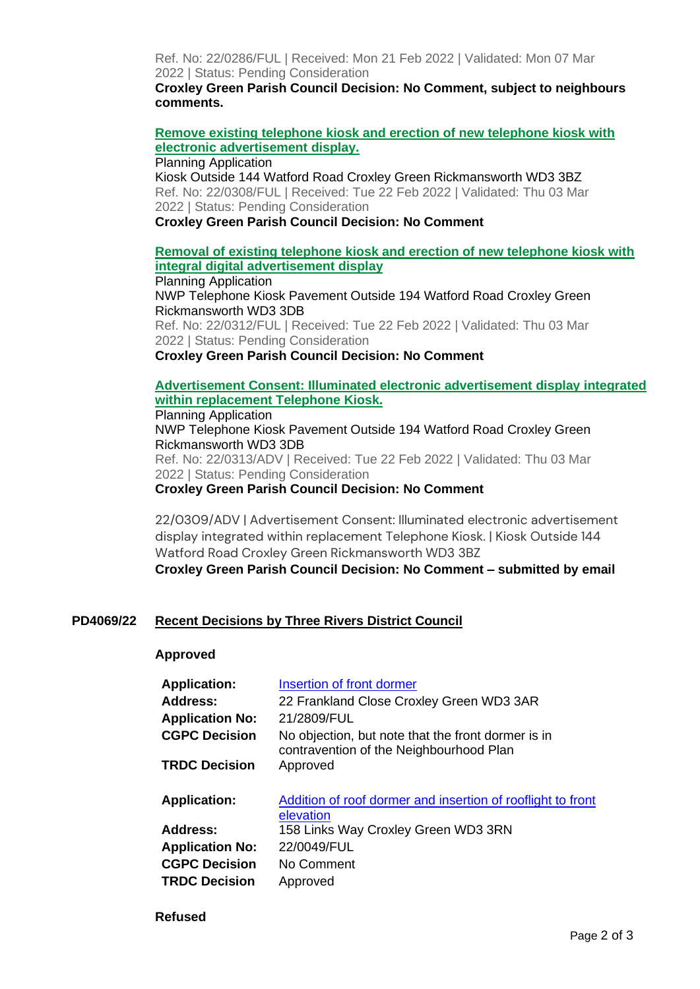Ref. No: 22/0286/FUL | Received: Mon 21 Feb 2022 | Validated: Mon 07 Mar 2022 | Status: Pending Consideration

**Croxley Green Parish Council Decision: No Comment, subject to neighbours comments.**

**[Remove existing telephone kiosk and erection of new telephone kiosk with](https://www3.threerivers.gov.uk/online-applications/applicationDetails.do?activeTab=summary&keyVal=R7P51OQFIWU00&prevPage=inTray)  [electronic advertisement display.](https://www3.threerivers.gov.uk/online-applications/applicationDetails.do?activeTab=summary&keyVal=R7P51OQFIWU00&prevPage=inTray)**

Planning Application

Kiosk Outside 144 Watford Road Croxley Green Rickmansworth WD3 3BZ Ref. No: 22/0308/FUL | Received: Tue 22 Feb 2022 | Validated: Thu 03 Mar 2022 | Status: Pending Consideration

#### **Croxley Green Parish Council Decision: No Comment**

# **[Removal of existing telephone kiosk and erection of new telephone kiosk with](https://www3.threerivers.gov.uk/online-applications/applicationDetails.do?activeTab=summary&keyVal=R7P551QFIX300&prevPage=inTray)  [integral digital advertisement display](https://www3.threerivers.gov.uk/online-applications/applicationDetails.do?activeTab=summary&keyVal=R7P551QFIX300&prevPage=inTray)**

Planning Application NWP Telephone Kiosk Pavement Outside 194 Watford Road Croxley Green Rickmansworth WD3 3DB Ref. No: 22/0312/FUL | Received: Tue 22 Feb 2022 | Validated: Thu 03 Mar 2022 | Status: Pending Consideration

**Croxley Green Parish Council Decision: No Comment**

# **[Advertisement Consent: Illuminated electronic advertisement display integrated](https://www3.threerivers.gov.uk/online-applications/applicationDetails.do?activeTab=summary&keyVal=R7P557QFIX400&prevPage=inTray)  [within replacement Telephone Kiosk.](https://www3.threerivers.gov.uk/online-applications/applicationDetails.do?activeTab=summary&keyVal=R7P557QFIX400&prevPage=inTray)**

Planning Application NWP Telephone Kiosk Pavement Outside 194 Watford Road Croxley Green Rickmansworth WD3 3DB Ref. No: 22/0313/ADV | Received: Tue 22 Feb 2022 | Validated: Thu 03 Mar 2022 | Status: Pending Consideration

**Croxley Green Parish Council Decision: No Comment**

22/0309/ADV | Advertisement Consent: Illuminated electronic advertisement display integrated within replacement Telephone Kiosk. | Kiosk Outside 144 Watford Road Croxley Green Rickmansworth WD3 3BZ

**Croxley Green Parish Council Decision: No Comment – submitted by email**

## **PD4069/22 Recent Decisions by Three Rivers District Council**

#### **Approved**

| <b>Application:</b><br><b>Address:</b><br><b>Application No:</b><br><b>CGPC Decision</b> | Insertion of front dormer<br>22 Frankland Close Croxley Green WD3 3AR<br>21/2809/FUL<br>No objection, but note that the front dormer is in |
|------------------------------------------------------------------------------------------|--------------------------------------------------------------------------------------------------------------------------------------------|
| <b>TRDC Decision</b>                                                                     | contravention of the Neighbourhood Plan<br>Approved                                                                                        |
| <b>Application:</b>                                                                      | Addition of roof dormer and insertion of rooflight to front<br>elevation                                                                   |
| <b>Address:</b>                                                                          | 158 Links Way Croxley Green WD3 3RN                                                                                                        |
| <b>Application No:</b>                                                                   | 22/0049/FUL                                                                                                                                |
| <b>CGPC Decision</b>                                                                     | No Comment                                                                                                                                 |
| <b>TRDC Decision</b>                                                                     | Approved                                                                                                                                   |
|                                                                                          |                                                                                                                                            |